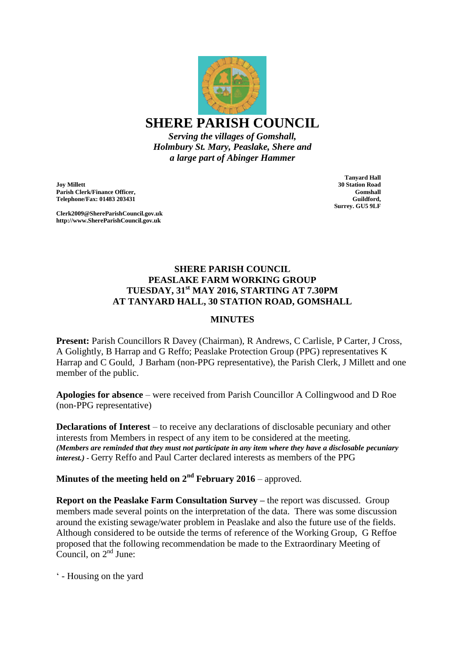

*Serving the villages of Gomshall, Holmbury St. Mary, Peaslake, Shere and a large part of Abinger Hammer*

**Joy Millett Parish Clerk/Finance Officer, Telephone/Fax: 01483 203431**

**Clerk2009@ShereParishCouncil.gov.uk http://www.ShereParishCouncil.gov.uk**

**Tanyard Hall 30 Station Road Gomshall Guildford, Surrey. GU5 9LF**

## **SHERE PARISH COUNCIL PEASLAKE FARM WORKING GROUP TUESDAY, 31st MAY 2016, STARTING AT 7.30PM AT TANYARD HALL, 30 STATION ROAD, GOMSHALL**

## **MINUTES**

**Present:** Parish Councillors R Davey (Chairman), R Andrews, C Carlisle, P Carter, J Cross, A Golightly, B Harrap and G Reffo; Peaslake Protection Group (PPG) representatives K Harrap and C Gould, J Barham (non-PPG representative), the Parish Clerk, J Millett and one member of the public.

**Apologies for absence** – were received from Parish Councillor A Collingwood and D Roe (non-PPG representative)

**Declarations of Interest** – to receive any declarations of disclosable pecuniary and other interests from Members in respect of any item to be considered at the meeting. *(Members are reminded that they must not participate in any item where they have a disclosable pecuniary interest.) -* Gerry Reffo and Paul Carter declared interests as members of the PPG

**Minutes of the meeting held on 2nd February 2016** – approved.

**Report on the Peaslake Farm Consultation Survey – the report was discussed. Group** members made several points on the interpretation of the data. There was some discussion around the existing sewage/water problem in Peaslake and also the future use of the fields. Although considered to be outside the terms of reference of the Working Group, G Reffoe proposed that the following recommendation be made to the Extraordinary Meeting of Council, on 2<sup>nd</sup> June:

' - Housing on the yard